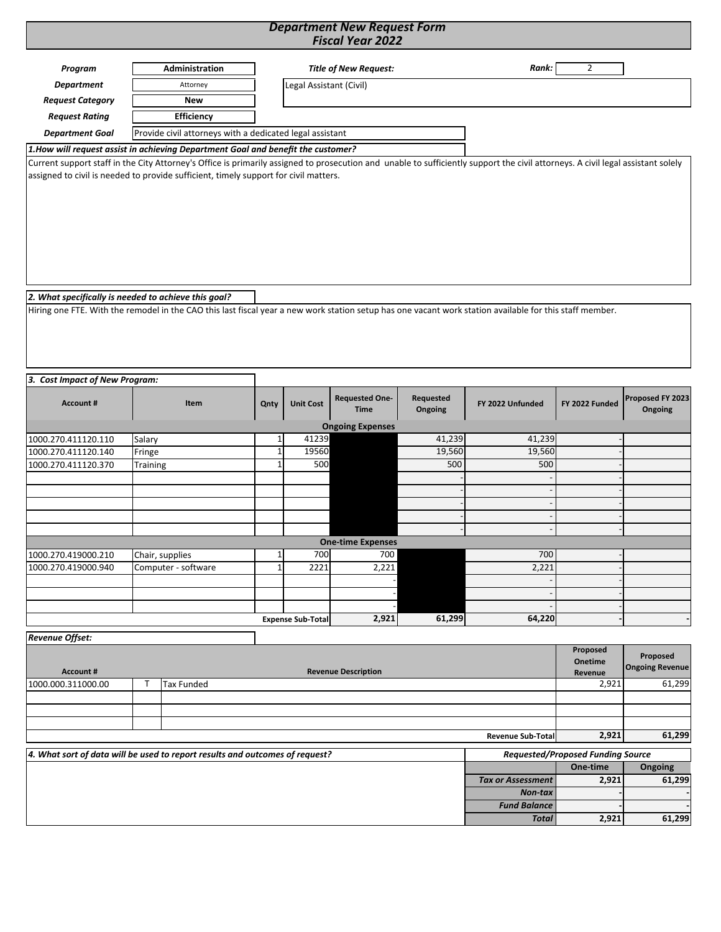#### *Department New Request Form Fiscal Year 2022*

| Program                                                                                                                                                                         | Administration                                           |                     |          |                          | <b>Title of New Request:</b>         |                      | Rank:<br>2               |                                          |                                    |  |
|---------------------------------------------------------------------------------------------------------------------------------------------------------------------------------|----------------------------------------------------------|---------------------|----------|--------------------------|--------------------------------------|----------------------|--------------------------|------------------------------------------|------------------------------------|--|
| <b>Department</b>                                                                                                                                                               |                                                          | Attorney            |          | Legal Assistant (Civil)  |                                      |                      |                          |                                          |                                    |  |
| <b>Request Category</b>                                                                                                                                                         |                                                          | New                 |          |                          |                                      |                      |                          |                                          |                                    |  |
| <b>Request Rating</b>                                                                                                                                                           | Efficiency                                               |                     |          |                          |                                      |                      |                          |                                          |                                    |  |
| <b>Department Goal</b>                                                                                                                                                          | Provide civil attorneys with a dedicated legal assistant |                     |          |                          |                                      |                      |                          |                                          |                                    |  |
| 1. How will request assist in achieving Department Goal and benefit the customer?                                                                                               |                                                          |                     |          |                          |                                      |                      |                          |                                          |                                    |  |
| Current support staff in the City Attorney's Office is primarily assigned to prosecution and unable to sufficiently support the civil attorneys. A civil legal assistant solely |                                                          |                     |          |                          |                                      |                      |                          |                                          |                                    |  |
| assigned to civil is needed to provide sufficient, timely support for civil matters.                                                                                            |                                                          |                     |          |                          |                                      |                      |                          |                                          |                                    |  |
| 2. What specifically is needed to achieve this goal?                                                                                                                            |                                                          |                     |          |                          |                                      |                      |                          |                                          |                                    |  |
| Hiring one FTE. With the remodel in the CAO this last fiscal year a new work station setup has one vacant work station available for this staff member.                         |                                                          |                     |          |                          |                                      |                      |                          |                                          |                                    |  |
| 3. Cost Impact of New Program:                                                                                                                                                  |                                                          |                     |          |                          |                                      |                      |                          |                                          |                                    |  |
| <b>Account#</b>                                                                                                                                                                 |                                                          | Item                | Qnty     | <b>Unit Cost</b>         | <b>Requested One-</b><br><b>Time</b> | Requested<br>Ongoing | FY 2022 Unfunded         | FY 2022 Funded                           | Proposed FY 2023<br>Ongoing        |  |
|                                                                                                                                                                                 |                                                          |                     |          |                          | <b>Ongoing Expenses</b>              |                      |                          |                                          |                                    |  |
| 1000.270.411120.110                                                                                                                                                             | Salary                                                   |                     | $1\vert$ | 41239                    |                                      | 41,239               | 41,239                   |                                          |                                    |  |
| 1000.270.411120.140                                                                                                                                                             | Fringe                                                   |                     |          | $1\overline{ }$<br>19560 |                                      | 19,560               | 19,560                   |                                          |                                    |  |
| 1000.270.411120.370                                                                                                                                                             | Training                                                 |                     | $1\vert$ | 500                      |                                      | 500                  | 500                      |                                          |                                    |  |
|                                                                                                                                                                                 |                                                          |                     |          |                          |                                      |                      |                          |                                          |                                    |  |
|                                                                                                                                                                                 |                                                          |                     |          |                          |                                      |                      |                          |                                          |                                    |  |
|                                                                                                                                                                                 |                                                          |                     |          |                          |                                      |                      |                          |                                          |                                    |  |
|                                                                                                                                                                                 |                                                          |                     |          |                          |                                      |                      |                          |                                          |                                    |  |
| <b>One-time Expenses</b>                                                                                                                                                        |                                                          |                     |          |                          |                                      |                      |                          |                                          |                                    |  |
| 1000.270.419000.210                                                                                                                                                             | Chair, supplies                                          |                     | $1\vert$ | 700                      | 700                                  |                      | 700                      |                                          |                                    |  |
| 1000.270.419000.940                                                                                                                                                             |                                                          | Computer - software | $1\vert$ | 2221                     | 2,221                                |                      | 2,221                    |                                          |                                    |  |
|                                                                                                                                                                                 |                                                          |                     |          |                          |                                      |                      |                          |                                          |                                    |  |
|                                                                                                                                                                                 |                                                          |                     |          |                          |                                      |                      |                          |                                          |                                    |  |
|                                                                                                                                                                                 |                                                          |                     |          | <b>Expense Sub-Total</b> | 2,921                                | 61,299               | 64,220                   |                                          |                                    |  |
|                                                                                                                                                                                 |                                                          |                     |          |                          |                                      |                      |                          |                                          |                                    |  |
| <b>Revenue Offset:</b><br><b>Account #</b>                                                                                                                                      |                                                          |                     |          |                          | <b>Revenue Description</b>           |                      |                          | Proposed<br>Onetime<br>Revenue           | Proposed<br><b>Ongoing Revenue</b> |  |
| 1000.000.311000.00                                                                                                                                                              | $\mathsf{T}$                                             | <b>Tax Funded</b>   |          |                          |                                      |                      |                          | 2,921                                    | 61,299                             |  |
|                                                                                                                                                                                 |                                                          |                     |          |                          |                                      |                      |                          |                                          |                                    |  |
|                                                                                                                                                                                 |                                                          |                     |          |                          |                                      |                      |                          |                                          |                                    |  |
| <b>Revenue Sub-Total</b>                                                                                                                                                        |                                                          |                     |          |                          |                                      |                      |                          | 2,921                                    | 61,299                             |  |
| 4. What sort of data will be used to report results and outcomes of request?                                                                                                    |                                                          |                     |          |                          |                                      |                      |                          | <b>Requested/Proposed Funding Source</b> |                                    |  |
|                                                                                                                                                                                 |                                                          |                     |          |                          |                                      |                      |                          | One-time<br>Ongoing                      |                                    |  |
|                                                                                                                                                                                 |                                                          |                     |          |                          |                                      |                      | <b>Tax or Assessment</b> | 2,921                                    | 61,299                             |  |
| <b>Non-tax</b>                                                                                                                                                                  |                                                          |                     |          |                          |                                      |                      |                          |                                          |                                    |  |
| <b>Fund Balance</b>                                                                                                                                                             |                                                          |                     |          |                          |                                      |                      |                          |                                          |                                    |  |
|                                                                                                                                                                                 |                                                          |                     |          |                          |                                      |                      | <b>Total</b>             | 2,921                                    | 61,299                             |  |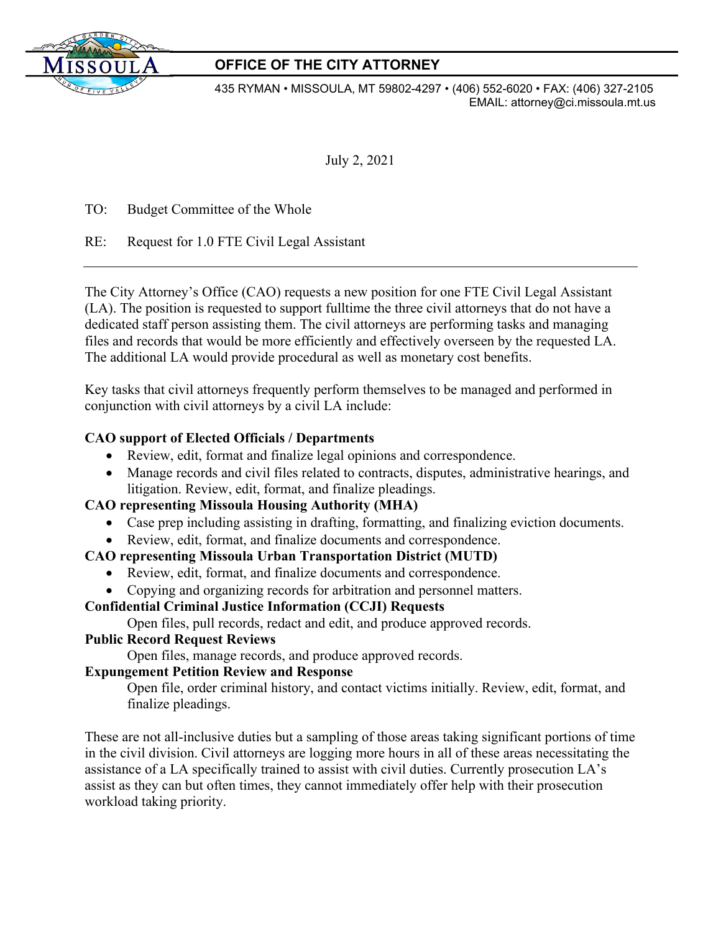

## **OFFICE OF THE CITY ATTORNEY**

435 RYMAN • MISSOULA, MT 59802-4297 • (406) 552-6020 • FAX: (406) 327-2105 EMAIL: attorney@ci.missoula.mt.us

July 2, 2021

TO: Budget Committee of the Whole

RE: Request for 1.0 FTE Civil Legal Assistant

The City Attorney's Office (CAO) requests a new position for one FTE Civil Legal Assistant (LA). The position is requested to support fulltime the three civil attorneys that do not have a dedicated staff person assisting them. The civil attorneys are performing tasks and managing files and records that would be more efficiently and effectively overseen by the requested LA. The additional LA would provide procedural as well as monetary cost benefits.

Key tasks that civil attorneys frequently perform themselves to be managed and performed in conjunction with civil attorneys by a civil LA include:

#### **CAO support of Elected Officials / Departments**

- Review, edit, format and finalize legal opinions and correspondence.
- Manage records and civil files related to contracts, disputes, administrative hearings, and litigation. Review, edit, format, and finalize pleadings.

### **CAO representing Missoula Housing Authority (MHA)**

- Case prep including assisting in drafting, formatting, and finalizing eviction documents.
- Review, edit, format, and finalize documents and correspondence.

## **CAO representing Missoula Urban Transportation District (MUTD)**

- Review, edit, format, and finalize documents and correspondence.
- Copying and organizing records for arbitration and personnel matters.

## **Confidential Criminal Justice Information (CCJI) Requests**

Open files, pull records, redact and edit, and produce approved records.

### **Public Record Request Reviews**

Open files, manage records, and produce approved records.

# **Expungement Petition Review and Response**

Open file, order criminal history, and contact victims initially. Review, edit, format, and finalize pleadings.

These are not all-inclusive duties but a sampling of those areas taking significant portions of time in the civil division. Civil attorneys are logging more hours in all of these areas necessitating the assistance of a LA specifically trained to assist with civil duties. Currently prosecution LA's assist as they can but often times, they cannot immediately offer help with their prosecution workload taking priority.